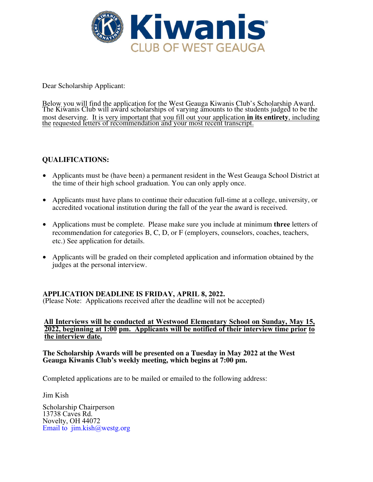

Dear Scholarship Applicant:

Below you will find the application for the West Geauga Kiwanis Club's Scholarship Award. The Kiwanis Club will award scholarships of varying amounts to the students judged to be the most deserving. It is very important that you fill out your application **in its entirety**, including the requested letters of recommendation and your most recent transcript.

# **QUALIFICATIONS:**

- Applicants must be (have been) a permanent resident in the West Geauga School District at the time of their high school graduation. You can only apply once.
- Applicants must have plans to continue their education full-time at a college, university, or accredited vocational institution during the fall of the year the award is received.
- Applications must be complete. Please make sure you include at minimum **three** letters of recommendation for categories B, C, D, or F (employers, counselors, coaches, teachers, etc.) See application for details.
- Applicants will be graded on their completed application and information obtained by the judges at the personal interview.

## **APPLICATION DEADLINE IS FRIDAY, APRIL 8, 2022.**

(Please Note: Applications received after the deadline will not be accepted)

#### **All Interviews will be conducted at Westwood Elementary School on Sunday, May 15, 2022, beginning at 1:00 pm. Applicants will be notified of their interview time prior to the interview date.**

#### **The Scholarship Awards will be presented on a Tuesday in May 2022 at the West Geauga Kiwanis Club's weekly meeting, which begins at 7:00 pm.**

Completed applications are to be mailed or emailed to the following address:

Jim Kish

Scholarship Chairperson 13738 Caves Rd. Novelty, OH 44072 Email to jim.kish@westg.org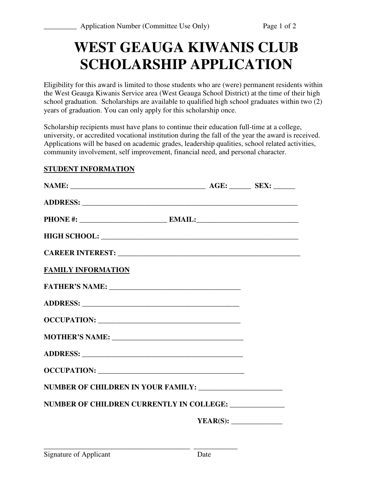# **WEST GEAUGA KIWANIS CLUB SCHOLARSHIP APPLICATION**

Eligibility for this award is limited to those students who are (were) permanent residents within the West Geauga Kiwanis Service area (West Geauga School District) at the time of their high school graduation. Scholarships are available to qualified high school graduates within two (2) years of graduation. You can only apply for this scholarship once.

Scholarship recipients must have plans to continue their education full-time at a college, university, or accredited vocational institution during the fall of the year the award is received. Applications will be based on academic grades, leadership qualities, school related activities, community involvement, self improvement, financial need, and personal character.

## **STUDENT INFORMATION**

| NUMBER OF CHILDREN CURRENTLY IN COLLEGE: ______________ |  |
|---------------------------------------------------------|--|
|                                                         |  |
|                                                         |  |

**\_\_\_\_\_\_\_\_\_\_\_\_\_\_\_\_\_\_\_\_\_\_\_\_\_\_\_\_\_\_\_\_\_\_\_\_\_\_\_\_ \_\_\_\_\_\_\_\_\_\_\_\_**